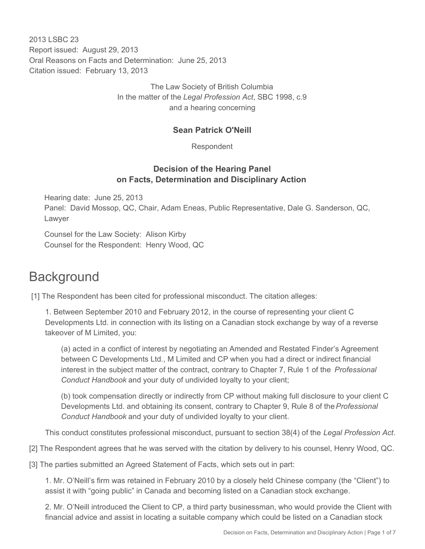2013 LSBC 23 Report issued: August 29, 2013 Oral Reasons on Facts and Determination: June 25, 2013 Citation issued: February 13, 2013

> The Law Society of British Columbia In the matter of the *Legal Profession Act*, SBC 1998, c.9 and a hearing concerning

#### **Sean Patrick O'Neill**

Respondent

#### **Decision of the Hearing Panel on Facts, Determination and Disciplinary Action**

Hearing date: June 25, 2013 Panel: David Mossop, QC, Chair, Adam Eneas, Public Representative, Dale G. Sanderson, QC, Lawyer

Counsel for the Law Society: Alison Kirby Counsel for the Respondent: Henry Wood, QC

## **Background**

[1] The Respondent has been cited for professional misconduct. The citation alleges:

1. Between September 2010 and February 2012, in the course of representing your client C Developments Ltd. in connection with its listing on a Canadian stock exchange by way of a reverse takeover of M Limited, you:

(a) acted in a conflict of interest by negotiating an Amended and Restated Finder's Agreement between C Developments Ltd., M Limited and CP when you had a direct or indirect financial interest in the subject matter of the contract, contrary to Chapter 7, Rule 1 of the *Professional Conduct Handbook* and your duty of undivided loyalty to your client;

(b) took compensation directly or indirectly from CP without making full disclosure to your client C Developments Ltd. and obtaining its consent, contrary to Chapter 9, Rule 8 of the *Professional Conduct Handbook* and your duty of undivided loyalty to your client.

This conduct constitutes professional misconduct, pursuant to section 38(4) of the *Legal Profession Act*.

[2] The Respondent agrees that he was served with the citation by delivery to his counsel, Henry Wood, QC.

[3] The parties submitted an Agreed Statement of Facts, which sets out in part:

1. Mr. O'Neill's firm was retained in February 2010 by a closely held Chinese company (the "Client") to assist it with "going public" in Canada and becoming listed on a Canadian stock exchange.

2. Mr. O'Neill introduced the Client to CP, a third party businessman, who would provide the Client with financial advice and assist in locating a suitable company which could be listed on a Canadian stock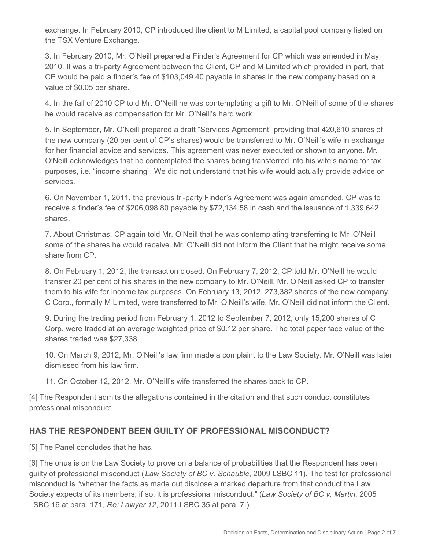exchange. In February 2010, CP introduced the client to M Limited, a capital pool company listed on the TSX Venture Exchange.

3. In February 2010, Mr. O'Neill prepared a Finder's Agreement for CP which was amended in May 2010. It was a tri-party Agreement between the Client, CP and M Limited which provided in part, that CP would be paid a finder's fee of \$103,049.40 payable in shares in the new company based on a value of \$0.05 per share.

4. In the fall of 2010 CP told Mr. O'Neill he was contemplating a gift to Mr. O'Neill of some of the shares he would receive as compensation for Mr. O'Neill's hard work.

5. In September, Mr. O'Neill prepared a draft "Services Agreement" providing that 420,610 shares of the new company (20 per cent of CP's shares) would be transferred to Mr. O'Neill's wife in exchange for her financial advice and services. This agreement was never executed or shown to anyone. Mr. O'Neill acknowledges that he contemplated the shares being transferred into his wife's name for tax purposes, i.e. "income sharing". We did not understand that his wife would actually provide advice or services.

6. On November 1, 2011, the previous tri-party Finder's Agreement was again amended. CP was to receive a finder's fee of \$206,098.80 payable by \$72,134.58 in cash and the issuance of 1,339,642 shares.

7. About Christmas, CP again told Mr. O'Neill that he was contemplating transferring to Mr. O'Neill some of the shares he would receive. Mr. O'Neill did not inform the Client that he might receive some share from CP.

8. On February 1, 2012, the transaction closed. On February 7, 2012, CP told Mr. O'Neill he would transfer 20 per cent of his shares in the new company to Mr. O'Neill. Mr. O'Neill asked CP to transfer them to his wife for income tax purposes. On February 13, 2012, 273,382 shares of the new company, C Corp., formally M Limited, were transferred to Mr. O'Neill's wife. Mr. O'Neill did not inform the Client.

9. During the trading period from February 1, 2012 to September 7, 2012, only 15,200 shares of C Corp. were traded at an average weighted price of \$0.12 per share. The total paper face value of the shares traded was \$27,338.

10. On March 9, 2012, Mr. O'Neill's law firm made a complaint to the Law Society. Mr. O'Neill was later dismissed from his law firm.

11. On October 12, 2012, Mr. O'Neill's wife transferred the shares back to CP.

[4] The Respondent admits the allegations contained in the citation and that such conduct constitutes professional misconduct.

#### **HAS THE RESPONDENT BEEN GUILTY OF PROFESSIONAL MISCONDUCT?**

[5] The Panel concludes that he has.

[6] The onus is on the Law Society to prove on a balance of probabilities that the Respondent has been guilty of professional misconduct (*Law Society of BC v. Schauble*, 2009 LSBC 11). The test for professional misconduct is "whether the facts as made out disclose a marked departure from that conduct the Law Society expects of its members; if so, it is professional misconduct." (*Law Society of BC v. Martin*, 2005 LSBC 16 at para. 171, *Re: Lawyer 12*, 2011 LSBC 35 at para. 7.)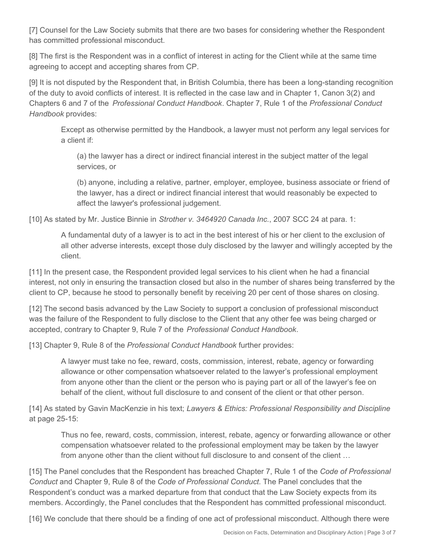[7] Counsel for the Law Society submits that there are two bases for considering whether the Respondent has committed professional misconduct.

[8] The first is the Respondent was in a conflict of interest in acting for the Client while at the same time agreeing to accept and accepting shares from CP.

[9] It is not disputed by the Respondent that, in British Columbia, there has been a long-standing recognition of the duty to avoid conflicts of interest. It is reflected in the case law and in Chapter 1, Canon 3(2) and Chapters 6 and 7 of the *Professional Conduct Handbook*. Chapter 7, Rule 1 of the *Professional Conduct Handbook* provides:

Except as otherwise permitted by the Handbook, a lawyer must not perform any legal services for a client if:

(a) the lawyer has a direct or indirect financial interest in the subject matter of the legal services, or

(b) anyone, including a relative, partner, employer, employee, business associate or friend of the lawyer, has a direct or indirect financial interest that would reasonably be expected to affect the lawyer's professional judgement.

[10] As stated by Mr. Justice Binnie in *Strother v. 3464920 Canada Inc.*, 2007 SCC 24 at para. 1:

A fundamental duty of a lawyer is to act in the best interest of his or her client to the exclusion of all other adverse interests, except those duly disclosed by the lawyer and willingly accepted by the client.

[11] In the present case, the Respondent provided legal services to his client when he had a financial interest, not only in ensuring the transaction closed but also in the number of shares being transferred by the client to CP, because he stood to personally benefit by receiving 20 per cent of those shares on closing.

[12] The second basis advanced by the Law Society to support a conclusion of professional misconduct was the failure of the Respondent to fully disclose to the Client that any other fee was being charged or accepted, contrary to Chapter 9, Rule 7 of the *Professional Conduct Handbook*.

[13] Chapter 9, Rule 8 of the *Professional Conduct Handbook* further provides:

A lawyer must take no fee, reward, costs, commission, interest, rebate, agency or forwarding allowance or other compensation whatsoever related to the lawyer's professional employment from anyone other than the client or the person who is paying part or all of the lawyer's fee on behalf of the client, without full disclosure to and consent of the client or that other person.

[14] As stated by Gavin MacKenzie in his text; *Lawyers & Ethics: Professional Responsibility and Discipline* at page 25-15:

Thus no fee, reward, costs, commission, interest, rebate, agency or forwarding allowance or other compensation whatsoever related to the professional employment may be taken by the lawyer from anyone other than the client without full disclosure to and consent of the client …

[15] The Panel concludes that the Respondent has breached Chapter 7, Rule 1 of the *Code of Professional Conduct* and Chapter 9, Rule 8 of the *Code of Professional Conduct*. The Panel concludes that the Respondent's conduct was a marked departure from that conduct that the Law Society expects from its members. Accordingly, the Panel concludes that the Respondent has committed professional misconduct.

[16] We conclude that there should be a finding of one act of professional misconduct. Although there were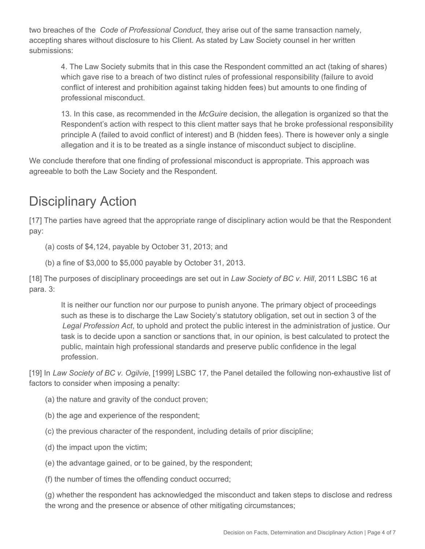two breaches of the *Code of Professional Conduct*, they arise out of the same transaction namely, accepting shares without disclosure to his Client. As stated by Law Society counsel in her written submissions:

4. The Law Society submits that in this case the Respondent committed an act (taking of shares) which gave rise to a breach of two distinct rules of professional responsibility (failure to avoid conflict of interest and prohibition against taking hidden fees) but amounts to one finding of professional misconduct.

13. In this case, as recommended in the *McGuire* decision, the allegation is organized so that the Respondent's action with respect to this client matter says that he broke professional responsibility principle A (failed to avoid conflict of interest) and B (hidden fees). There is however only a single allegation and it is to be treated as a single instance of misconduct subject to discipline.

We conclude therefore that one finding of professional misconduct is appropriate. This approach was agreeable to both the Law Society and the Respondent.

# Disciplinary Action

[17] The parties have agreed that the appropriate range of disciplinary action would be that the Respondent pay:

(a) costs of \$4,124, payable by October 31, 2013; and

(b) a fine of \$3,000 to \$5,000 payable by October 31, 2013.

[18] The purposes of disciplinary proceedings are set out in *Law Society of BC v. Hill*, 2011 LSBC 16 at para. 3:

It is neither our function nor our purpose to punish anyone. The primary object of proceedings such as these is to discharge the Law Society's statutory obligation, set out in section 3 of the *Legal Profession Act*, to uphold and protect the public interest in the administration of justice. Our task is to decide upon a sanction or sanctions that, in our opinion, is best calculated to protect the public, maintain high professional standards and preserve public confidence in the legal profession.

[19] In *Law Society of BC v. Ogilvie*, [1999] LSBC 17, the Panel detailed the following non-exhaustive list of factors to consider when imposing a penalty:

- (a) the nature and gravity of the conduct proven;
- (b) the age and experience of the respondent;
- (c) the previous character of the respondent, including details of prior discipline;
- (d) the impact upon the victim;
- (e) the advantage gained, or to be gained, by the respondent;

(f) the number of times the offending conduct occurred;

(g) whether the respondent has acknowledged the misconduct and taken steps to disclose and redress the wrong and the presence or absence of other mitigating circumstances;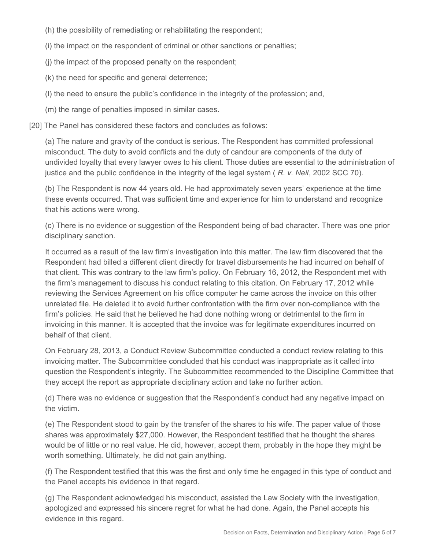(h) the possibility of remediating or rehabilitating the respondent;

(i) the impact on the respondent of criminal or other sanctions or penalties;

(j) the impact of the proposed penalty on the respondent;

(k) the need for specific and general deterrence;

(l) the need to ensure the public's confidence in the integrity of the profession; and,

(m) the range of penalties imposed in similar cases.

[20] The Panel has considered these factors and concludes as follows:

(a) The nature and gravity of the conduct is serious. The Respondent has committed professional misconduct. The duty to avoid conflicts and the duty of candour are components of the duty of undivided loyalty that every lawyer owes to his client. Those duties are essential to the administration of justice and the public confidence in the integrity of the legal system ( *R. v. Neil*, 2002 SCC 70).

(b) The Respondent is now 44 years old. He had approximately seven years' experience at the time these events occurred. That was sufficient time and experience for him to understand and recognize that his actions were wrong.

(c) There is no evidence or suggestion of the Respondent being of bad character. There was one prior disciplinary sanction.

It occurred as a result of the law firm's investigation into this matter. The law firm discovered that the Respondent had billed a different client directly for travel disbursements he had incurred on behalf of that client. This was contrary to the law firm's policy. On February 16, 2012, the Respondent met with the firm's management to discuss his conduct relating to this citation. On February 17, 2012 while reviewing the Services Agreement on his office computer he came across the invoice on this other unrelated file. He deleted it to avoid further confrontation with the firm over non-compliance with the firm's policies. He said that he believed he had done nothing wrong or detrimental to the firm in invoicing in this manner. It is accepted that the invoice was for legitimate expenditures incurred on behalf of that client.

On February 28, 2013, a Conduct Review Subcommittee conducted a conduct review relating to this invoicing matter. The Subcommittee concluded that his conduct was inappropriate as it called into question the Respondent's integrity. The Subcommittee recommended to the Discipline Committee that they accept the report as appropriate disciplinary action and take no further action.

(d) There was no evidence or suggestion that the Respondent's conduct had any negative impact on the victim.

(e) The Respondent stood to gain by the transfer of the shares to his wife. The paper value of those shares was approximately \$27,000. However, the Respondent testified that he thought the shares would be of little or no real value. He did, however, accept them, probably in the hope they might be worth something. Ultimately, he did not gain anything.

(f) The Respondent testified that this was the first and only time he engaged in this type of conduct and the Panel accepts his evidence in that regard.

(g) The Respondent acknowledged his misconduct, assisted the Law Society with the investigation, apologized and expressed his sincere regret for what he had done. Again, the Panel accepts his evidence in this regard.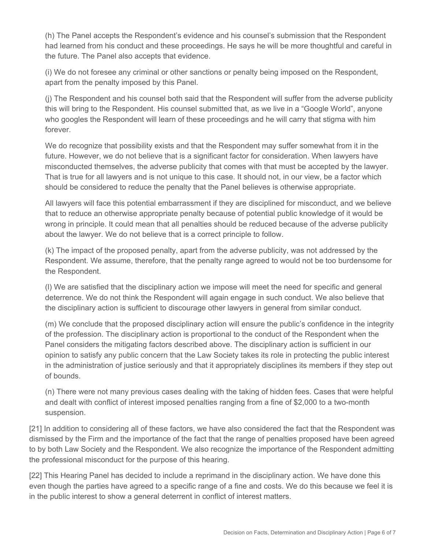(h) The Panel accepts the Respondent's evidence and his counsel's submission that the Respondent had learned from his conduct and these proceedings. He says he will be more thoughtful and careful in the future. The Panel also accepts that evidence.

(i) We do not foresee any criminal or other sanctions or penalty being imposed on the Respondent, apart from the penalty imposed by this Panel.

(j) The Respondent and his counsel both said that the Respondent will suffer from the adverse publicity this will bring to the Respondent. His counsel submitted that, as we live in a "Google World", anyone who googles the Respondent will learn of these proceedings and he will carry that stigma with him forever.

We do recognize that possibility exists and that the Respondent may suffer somewhat from it in the future. However, we do not believe that is a significant factor for consideration. When lawyers have misconducted themselves, the adverse publicity that comes with that must be accepted by the lawyer. That is true for all lawyers and is not unique to this case. It should not, in our view, be a factor which should be considered to reduce the penalty that the Panel believes is otherwise appropriate.

All lawyers will face this potential embarrassment if they are disciplined for misconduct, and we believe that to reduce an otherwise appropriate penalty because of potential public knowledge of it would be wrong in principle. It could mean that all penalties should be reduced because of the adverse publicity about the lawyer. We do not believe that is a correct principle to follow.

(k) The impact of the proposed penalty, apart from the adverse publicity, was not addressed by the Respondent. We assume, therefore, that the penalty range agreed to would not be too burdensome for the Respondent.

(l) We are satisfied that the disciplinary action we impose will meet the need for specific and general deterrence. We do not think the Respondent will again engage in such conduct. We also believe that the disciplinary action is sufficient to discourage other lawyers in general from similar conduct.

(m) We conclude that the proposed disciplinary action will ensure the public's confidence in the integrity of the profession. The disciplinary action is proportional to the conduct of the Respondent when the Panel considers the mitigating factors described above. The disciplinary action is sufficient in our opinion to satisfy any public concern that the Law Society takes its role in protecting the public interest in the administration of justice seriously and that it appropriately disciplines its members if they step out of bounds.

(n) There were not many previous cases dealing with the taking of hidden fees. Cases that were helpful and dealt with conflict of interest imposed penalties ranging from a fine of \$2,000 to a two-month suspension.

[21] In addition to considering all of these factors, we have also considered the fact that the Respondent was dismissed by the Firm and the importance of the fact that the range of penalties proposed have been agreed to by both Law Society and the Respondent. We also recognize the importance of the Respondent admitting the professional misconduct for the purpose of this hearing.

[22] This Hearing Panel has decided to include a reprimand in the disciplinary action. We have done this even though the parties have agreed to a specific range of a fine and costs. We do this because we feel it is in the public interest to show a general deterrent in conflict of interest matters.